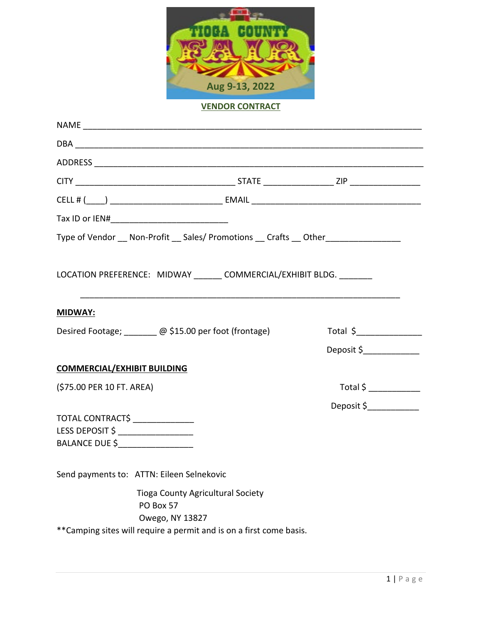

## **VENDOR CONTRACT**

| Type of Vendor __ Non-Profit __ Sales/ Promotions __ Crafts __ Other ___________ |                           |
|----------------------------------------------------------------------------------|---------------------------|
| LOCATION PREFERENCE: MIDWAY _______ COMMERCIAL/EXHIBIT BLDG. ________            |                           |
| <u>MIDWAY:</u>                                                                   |                           |
| Desired Footage; ______ @ \$15.00 per foot (frontage)                            | Total \$                  |
|                                                                                  | Deposit \$_______________ |
| <b>COMMERCIAL/EXHIBIT BUILDING</b>                                               |                           |
| (\$75.00 PER 10 FT. AREA)                                                        |                           |
|                                                                                  | Deposit \$____________    |
| TOTAL CONTRACT\$                                                                 |                           |
| LESS DEPOSIT \$ ___________________                                              |                           |
| BALANCE DUE \$____________________                                               |                           |
| Send payments to: ATTN: Eileen Selnekovic                                        |                           |
| <b>Tioga County Agricultural Society</b>                                         |                           |
| PO Box 57                                                                        |                           |
| Owego, NY 13827                                                                  |                           |
| ** Camping sites will require a permit and is on a first come basis.             |                           |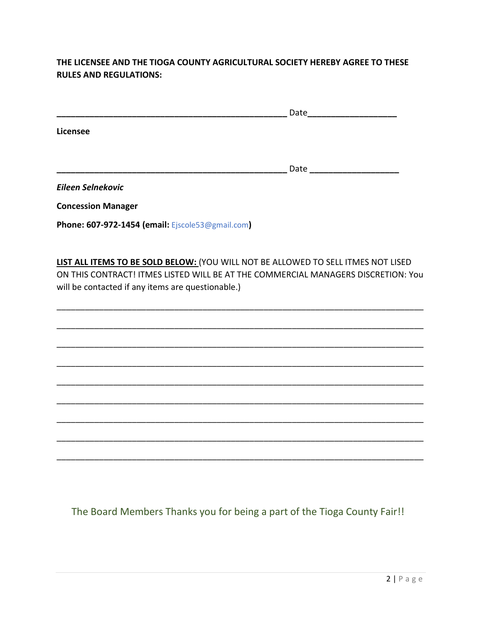## **THE LICENSEE AND THE TIOGA COUNTY AGRICULTURAL SOCIETY HEREBY AGREE TO THESE RULES AND REGULATIONS:**

|                   | Date |
|-------------------|------|
| Licensee          |      |
|                   | Date |
| Eileen Selnekovic |      |

**Concession Manager**

**Phone: 607-972-1454 (email:** Ejscole53@gmail.com**)**

**LIST ALL ITEMS TO BE SOLD BELOW:** (YOU WILL NOT BE ALLOWED TO SELL ITMES NOT LISED ON THIS CONTRACT! ITMES LISTED WILL BE AT THE COMMERCIAL MANAGERS DISCRETION: You will be contacted if any items are questionable.)

\_\_\_\_\_\_\_\_\_\_\_\_\_\_\_\_\_\_\_\_\_\_\_\_\_\_\_\_\_\_\_\_\_\_\_\_\_\_\_\_\_\_\_\_\_\_\_\_\_\_\_\_\_\_\_\_\_\_\_\_\_\_\_\_\_\_\_\_\_\_\_\_\_\_\_\_\_\_

\_\_\_\_\_\_\_\_\_\_\_\_\_\_\_\_\_\_\_\_\_\_\_\_\_\_\_\_\_\_\_\_\_\_\_\_\_\_\_\_\_\_\_\_\_\_\_\_\_\_\_\_\_\_\_\_\_\_\_\_\_\_\_\_\_\_\_\_\_\_\_\_\_\_\_\_\_\_

\_\_\_\_\_\_\_\_\_\_\_\_\_\_\_\_\_\_\_\_\_\_\_\_\_\_\_\_\_\_\_\_\_\_\_\_\_\_\_\_\_\_\_\_\_\_\_\_\_\_\_\_\_\_\_\_\_\_\_\_\_\_\_\_\_\_\_\_\_\_\_\_\_\_\_\_\_\_

\_\_\_\_\_\_\_\_\_\_\_\_\_\_\_\_\_\_\_\_\_\_\_\_\_\_\_\_\_\_\_\_\_\_\_\_\_\_\_\_\_\_\_\_\_\_\_\_\_\_\_\_\_\_\_\_\_\_\_\_\_\_\_\_\_\_\_\_\_\_\_\_\_\_\_\_\_\_

\_\_\_\_\_\_\_\_\_\_\_\_\_\_\_\_\_\_\_\_\_\_\_\_\_\_\_\_\_\_\_\_\_\_\_\_\_\_\_\_\_\_\_\_\_\_\_\_\_\_\_\_\_\_\_\_\_\_\_\_\_\_\_\_\_\_\_\_\_\_\_\_\_\_\_\_\_\_

\_\_\_\_\_\_\_\_\_\_\_\_\_\_\_\_\_\_\_\_\_\_\_\_\_\_\_\_\_\_\_\_\_\_\_\_\_\_\_\_\_\_\_\_\_\_\_\_\_\_\_\_\_\_\_\_\_\_\_\_\_\_\_\_\_\_\_\_\_\_\_\_\_\_\_\_\_\_

\_\_\_\_\_\_\_\_\_\_\_\_\_\_\_\_\_\_\_\_\_\_\_\_\_\_\_\_\_\_\_\_\_\_\_\_\_\_\_\_\_\_\_\_\_\_\_\_\_\_\_\_\_\_\_\_\_\_\_\_\_\_\_\_\_\_\_\_\_\_\_\_\_\_\_\_\_\_

\_\_\_\_\_\_\_\_\_\_\_\_\_\_\_\_\_\_\_\_\_\_\_\_\_\_\_\_\_\_\_\_\_\_\_\_\_\_\_\_\_\_\_\_\_\_\_\_\_\_\_\_\_\_\_\_\_\_\_\_\_\_\_\_\_\_\_\_\_\_\_\_\_\_\_\_\_\_

\_\_\_\_\_\_\_\_\_\_\_\_\_\_\_\_\_\_\_\_\_\_\_\_\_\_\_\_\_\_\_\_\_\_\_\_\_\_\_\_\_\_\_\_\_\_\_\_\_\_\_\_\_\_\_\_\_\_\_\_\_\_\_\_\_\_\_\_\_\_\_\_\_\_\_\_\_\_

The Board Members Thanks you for being a part of the Tioga County Fair!!